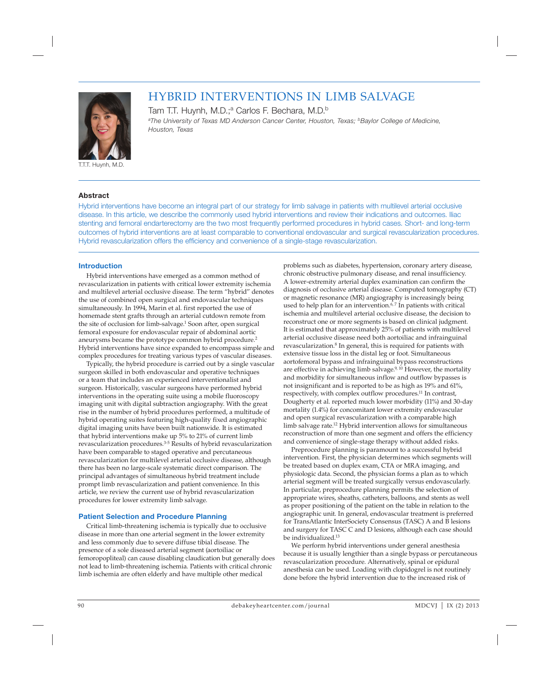

HYBRID INTERVENTIONS IN LIMB SALVAGE

Tam T.T. Huynh, M.D.;<sup>a</sup> Carlos F. Bechara, M.D.<sup>b</sup>

*a The University of Texas MD Anderson Cancer Center, Houston, Texas; bBaylor College of Medicine, Houston, Texas*

# **Abstract**

Hybrid interventions have become an integral part of our strategy for limb salvage in patients with multilevel arterial occlusive disease. In this article, we describe the commonly used hybrid interventions and review their indications and outcomes. Iliac stenting and femoral endarterectomy are the two most frequently performed procedures in hybrid cases. Short- and long-term outcomes of hybrid interventions are at least comparable to conventional endovascular and surgical revascularization procedures. Hybrid revascularization offers the efficiency and convenience of a single-stage revascularization.

## **Introduction**

Hybrid interventions have emerged as a common method of revascularization in patients with critical lower extremity ischemia and multilevel arterial occlusive disease. The term "hybrid" denotes the use of combined open surgical and endovascular techniques simultaneously. In 1994, Marin et al. first reported the use of homemade stent grafts through an arterial cutdown remote from the site of occlusion for limb-salvage.<sup>1</sup> Soon after, open surgical femoral exposure for endovascular repair of abdominal aortic aneurysms became the prototype common hybrid procedure.2 Hybrid interventions have since expanded to encompass simple and complex procedures for treating various types of vascular diseases.

Typically, the hybrid procedure is carried out by a single vascular surgeon skilled in both endovascular and operative techniques or a team that includes an experienced interventionalist and surgeon. Historically, vascular surgeons have performed hybrid interventions in the operating suite using a mobile fluoroscopy imaging unit with digital subtraction angiography. With the great rise in the number of hybrid procedures performed, a multitude of hybrid operating suites featuring high-quality fixed angiographic digital imaging units have been built nationwide. It is estimated that hybrid interventions make up 5% to 21% of current limb revascularization procedures. $3-5$  Results of hybrid revascularization have been comparable to staged operative and percutaneous revascularization for multilevel arterial occlusive disease, although there has been no large-scale systematic direct comparison. The principal advantages of simultaneous hybrid treatment include prompt limb revascularization and patient convenience. In this article, we review the current use of hybrid revascularization procedures for lower extremity limb salvage.

# **Patient Selection and Procedure Planning**

Critical limb-threatening ischemia is typically due to occlusive disease in more than one arterial segment in the lower extremity and less commonly due to severe diffuse tibial disease. The presence of a sole diseased arterial segment (aortoiliac or femoropopliteal) can cause disabling claudication but generally does not lead to limb-threatening ischemia. Patients with critical chronic limb ischemia are often elderly and have multiple other medical

problems such as diabetes, hypertension, coronary artery disease, chronic obstructive pulmonary disease, and renal insufficiency. A lower-extremity arterial duplex examination can confirm the diagnosis of occlusive arterial disease. Computed tomography (CT) or magnetic resonance (MR) angiography is increasingly being used to help plan for an intervention. $6.7$  In patients with critical ischemia and multilevel arterial occlusive disease, the decision to reconstruct one or more segments is based on clinical judgment. It is estimated that approximately 25% of patients with multilevel arterial occlusive disease need both aortoiliac and infrainguinal revascularization.<sup>8</sup> In general, this is required for patients with extensive tissue loss in the distal leg or foot. Simultaneous aortofemoral bypass and infrainguinal bypass reconstructions are effective in achieving limb salvage.<sup>9, 10</sup> However, the mortality and morbidity for simultaneous inflow and outflow bypasses is not insignificant and is reported to be as high as 19% and 61%, respectively, with complex outflow procedures.11 In contrast, Dougherty et al. reported much lower morbidity (11%) and 30-day mortality (1.4%) for concomitant lower extremity endovascular and open surgical revascularization with a comparable high limb salvage rate.12 Hybrid intervention allows for simultaneous reconstruction of more than one segment and offers the efficiency and convenience of single-stage therapy without added risks.

Preprocedure planning is paramount to a successful hybrid intervention. First, the physician determines which segments will be treated based on duplex exam, CTA or MRA imaging, and physiologic data. Second, the physician forms a plan as to which arterial segment will be treated surgically versus endovascularly. In particular, preprocedure planning permits the selection of appropriate wires, sheaths, catheters, balloons, and stents as well as proper positioning of the patient on the table in relation to the angiographic unit. In general, endovascular treatment is preferred for TransAtlantic InterSociety Consensus (TASC) A and B lesions and surgery for TASC C and D lesions, although each case should be individualized.13

We perform hybrid interventions under general anesthesia because it is usually lengthier than a single bypass or percutaneous revascularization procedure. Alternatively, spinal or epidural anesthesia can be used. Loading with clopidogrel is not routinely done before the hybrid intervention due to the increased risk of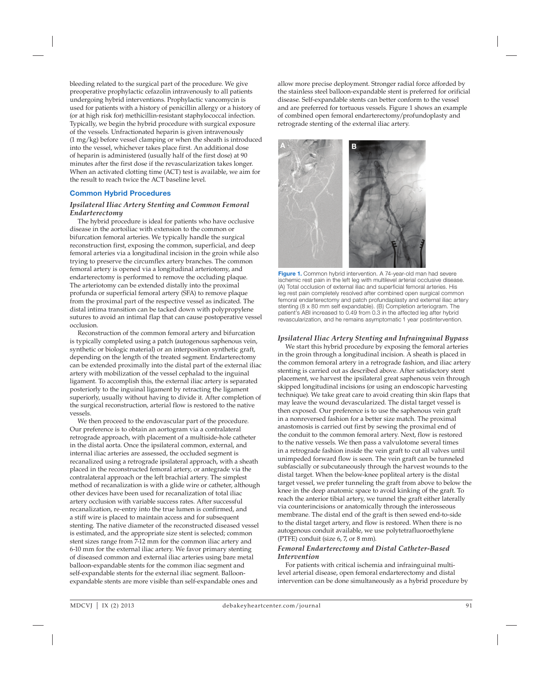bleeding related to the surgical part of the procedure. We give preoperative prophylactic cefazolin intravenously to all patients undergoing hybrid interventions. Prophylactic vancomycin is used for patients with a history of penicillin allergy or a history of (or at high risk for) methicillin-resistant staphylococcal infection. Typically, we begin the hybrid procedure with surgical exposure of the vessels. Unfractionated heparin is given intravenously (1 mg/kg) before vessel clamping or when the sheath is introduced into the vessel, whichever takes place first. An additional dose of heparin is administered (usually half of the first dose) at 90 minutes after the first dose if the revascularization takes longer. When an activated clotting time (ACT) test is available, we aim for the result to reach twice the ACT baseline level.

# **Common Hybrid Procedures**

### *Ipsilateral Iliac Artery Stenting and Common Femoral Endarterectomy*

The hybrid procedure is ideal for patients who have occlusive disease in the aortoiliac with extension to the common or bifurcation femoral arteries. We typically handle the surgical reconstruction first, exposing the common, superficial, and deep femoral arteries via a longitudinal incision in the groin while also trying to preserve the circumflex artery branches. The common femoral artery is opened via a longitudinal arteriotomy, and endarterectomy is performed to remove the occluding plaque. The arteriotomy can be extended distally into the proximal profunda or superficial femoral artery (SFA) to remove plaque from the proximal part of the respective vessel as indicated. The distal intima transition can be tacked down with polypropylene sutures to avoid an intimal flap that can cause postoperative vessel occlusion.

Reconstruction of the common femoral artery and bifurcation is typically completed using a patch (autogenous saphenous vein, synthetic or biologic material) or an interposition synthetic graft, depending on the length of the treated segment. Endarterectomy can be extended proximally into the distal part of the external iliac artery with mobilization of the vessel cephalad to the inguinal ligament. To accomplish this, the external iliac artery is separated posteriorly to the inguinal ligament by retracting the ligament superiorly, usually without having to divide it. After completion of the surgical reconstruction, arterial flow is restored to the native vessels.

We then proceed to the endovascular part of the procedure. Our preference is to obtain an aortogram via a contralateral retrograde approach, with placement of a multiside-hole catheter in the distal aorta. Once the ipsilateral common, external, and internal iliac arteries are assessed, the occluded segment is recanalized using a retrograde ipsilateral approach, with a sheath placed in the reconstructed femoral artery, or antegrade via the contralateral approach or the left brachial artery. The simplest method of recanalization is with a glide wire or catheter, although other devices have been used for recanalization of total iliac artery occlusion with variable success rates. After successful recanalization, re-entry into the true lumen is confirmed, and a stiff wire is placed to maintain access and for subsequent stenting. The native diameter of the reconstructed diseased vessel is estimated, and the appropriate size stent is selected; common stent sizes range from 7-12 mm for the common iliac artery and 6-10 mm for the external iliac artery. We favor primary stenting of diseased common and external iliac arteries using bare metal balloon-expandable stents for the common iliac segment and self-expandable stents for the external iliac segment. Balloonexpandable stents are more visible than self-expandable ones and

allow more precise deployment. Stronger radial force afforded by the stainless steel balloon-expandable stent is preferred for orificial disease. Self-expandable stents can better conform to the vessel and are preferred for tortuous vessels. Figure 1 shows an example of combined open femoral endarterectomy/profundoplasty and retrograde stenting of the external iliac artery.



Figure 1. Common hybrid intervention. A 74-year-old man had severe ischemic rest pain in the left leg with multilevel arterial occlusive disease. (A) Total occlusion of external iliac and superficial femoral arteries. His leg rest pain completely resolved after combined open surgical common femoral endarterectomy and patch profundaplasty and external iliac artery stenting (8 x 80 mm self expandable). (B) Completion arteriogram. The patient's ABI increased to 0.49 from 0.3 in the affected leg after hybrid revascularization, and he remains asymptomatic 1 year postintervention.

# *Ipsilateral Iliac Artery Stenting and Infrainguinal Bypass*

We start this hybrid procedure by exposing the femoral arteries in the groin through a longitudinal incision. A sheath is placed in the common femoral artery in a retrograde fashion, and iliac artery stenting is carried out as described above. After satisfactory stent placement, we harvest the ipsilateral great saphenous vein through skipped longitudinal incisions (or using an endoscopic harvesting technique). We take great care to avoid creating thin skin flaps that may leave the wound devascularized. The distal target vessel is then exposed. Our preference is to use the saphenous vein graft in a nonreversed fashion for a better size match. The proximal anastomosis is carried out first by sewing the proximal end of the conduit to the common femoral artery. Next, flow is restored to the native vessels. We then pass a valvulotome several times in a retrograde fashion inside the vein graft to cut all valves until unimpeded forward flow is seen. The vein graft can be tunneled subfascially or subcutaneously through the harvest wounds to the distal target. When the below-knee popliteal artery is the distal target vessel, we prefer tunneling the graft from above to below the knee in the deep anatomic space to avoid kinking of the graft. To reach the anterior tibial artery, we tunnel the graft either laterally via counterincisions or anatomically through the interosseous membrane. The distal end of the graft is then sewed end-to-side to the distal target artery, and flow is restored. When there is no autogenous conduit available, we use polytetrafluoroethylene (PTFE) conduit (size 6, 7, or 8 mm).

### *Femoral Endarterectomy and Distal Catheter-Based Intervention*

For patients with critical ischemia and infrainguinal multilevel arterial disease, open femoral endarterectomy and distal intervention can be done simultaneously as a hybrid procedure by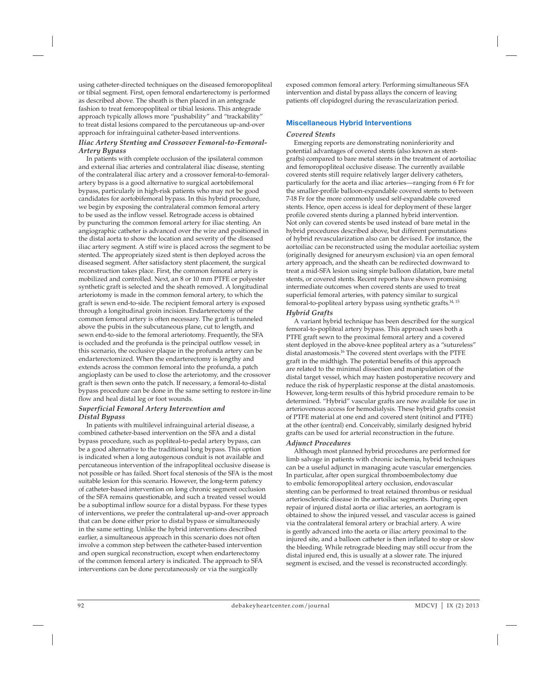using catheter-directed techniques on the diseased femoropopliteal or tibial segment. First, open femoral endarterectomy is performed as described above. The sheath is then placed in an antegrade fashion to treat femoropopliteal or tibial lesions. This antegrade approach typically allows more "pushability" and "trackability" to treat distal lesions compared to the percutaneous up-and-over approach for infrainguinal catheter-based interventions.

### *Iliac Artery Stenting and Crossover Femoral-to-Femoral-Artery Bypass*

In patients with complete occlusion of the ipsilateral common and external iliac arteries and contralateral iliac disease, stenting of the contralateral iliac artery and a crossover femoral-to-femoralartery bypass is a good alternative to surgical aortobifemoral bypass, particularly in high-risk patients who may not be good candidates for aortobifemoral bypass. In this hybrid procedure, we begin by exposing the contralateral common femoral artery to be used as the inflow vessel. Retrograde access is obtained by puncturing the common femoral artery for iliac stenting. An angiographic catheter is advanced over the wire and positioned in the distal aorta to show the location and severity of the diseased iliac artery segment. A stiff wire is placed across the segment to be stented. The appropriately sized stent is then deployed across the diseased segment. After satisfactory stent placement, the surgical reconstruction takes place. First, the common femoral artery is mobilized and controlled. Next, an 8 or 10 mm PTFE or polyester synthetic graft is selected and the sheath removed. A longitudinal arteriotomy is made in the common femoral artery, to which the graft is sewn end-to-side. The recipient femoral artery is exposed through a longitudinal groin incision. Endarterectomy of the common femoral artery is often necessary. The graft is tunneled above the pubis in the subcutaneous plane, cut to length, and sewn end-to-side to the femoral arteriotomy. Frequently, the SFA is occluded and the profunda is the principal outflow vessel; in this scenario, the occlusive plaque in the profunda artery can be endarterectomized. When the endarterectomy is lengthy and extends across the common femoral into the profunda, a patch angioplasty can be used to close the arteriotomy, and the crossover graft is then sewn onto the patch. If necessary, a femoral-to-distal bypass procedure can be done in the same setting to restore in-line flow and heal distal leg or foot wounds.

# *Superficial Femoral Artery Intervention and Distal Bypass*

In patients with multilevel infrainguinal arterial disease, a combined catheter-based intervention on the SFA and a distal bypass procedure, such as popliteal-to-pedal artery bypass, can be a good alternative to the traditional long bypass. This option is indicated when a long autogenous conduit is not available and percutaneous intervention of the infrapopliteal occlusive disease is not possible or has failed. Short focal stenosis of the SFA is the most suitable lesion for this scenario. However, the long-term patency of catheter-based intervention on long chronic segment occlusion of the SFA remains questionable, and such a treated vessel would be a suboptimal inflow source for a distal bypass. For these types of interventions, we prefer the contralateral up-and-over approach that can be done either prior to distal bypass or simultaneously in the same setting. Unlike the hybrid interventions described earlier, a simultaneous approach in this scenario does not often involve a common step between the catheter-based intervention and open surgical reconstruction, except when endarterectomy of the common femoral artery is indicated. The approach to SFA interventions can be done percutaneously or via the surgically

exposed common femoral artery. Performing simultaneous SFA intervention and distal bypass allays the concern of leaving patients off clopidogrel during the revascularization period.

# **Miscellaneous Hybrid Interventions**

### *Covered Stents*

Emerging reports are demonstrating noninferiority and potential advantages of covered stents (also known as stentgrafts) compared to bare metal stents in the treatment of aortoiliac and femoropopliteal occlusive disease. The currently available covered stents still require relatively larger delivery catheters, particularly for the aorta and iliac arteries—ranging from 6 Fr for the smaller-profile balloon-expandable covered stents to between 7-18 Fr for the more commonly used self-expandable covered stents. Hence, open access is ideal for deployment of these larger profile covered stents during a planned hybrid intervention. Not only can covered stents be used instead of bare metal in the hybrid procedures described above, but different permutations of hybrid revascularization also can be devised. For instance, the aortoiliac can be reconstructed using the modular aortoiliac system (originally designed for aneurysm exclusion) via an open femoral artery approach, and the sheath can be redirected downward to treat a mid-SFA lesion using simple balloon dilatation, bare metal stents, or covered stents. Recent reports have shown promising intermediate outcomes when covered stents are used to treat superficial femoral arteries, with patency similar to surgical femoral-to-popliteal artery bypass using synthetic grafts.14, 15

## *Hybrid Grafts*

A variant hybrid technique has been described for the surgical femoral-to-popliteal artery bypass. This approach uses both a PTFE graft sewn to the proximal femoral artery and a covered stent deployed in the above-knee popliteal artery as a "sutureless" distal anastomosis.16 The covered stent overlaps with the PTFE graft in the midthigh. The potential benefits of this approach are related to the minimal dissection and manipulation of the distal target vessel, which may hasten postoperative recovery and reduce the risk of hyperplastic response at the distal anastomosis. However, long-term results of this hybrid procedure remain to be determined. "Hybrid" vascular grafts are now available for use in arteriovenous access for hemodialysis. These hybrid grafts consist of PTFE material at one end and covered stent (nitinol and PTFE) at the other (central) end. Conceivably, similarly designed hybrid grafts can be used for arterial reconstruction in the future.

### *Adjunct Procedures*

Although most planned hybrid procedures are performed for limb salvage in patients with chronic ischemia, hybrid techniques can be a useful adjunct in managing acute vascular emergencies. In particular, after open surgical thromboembolectomy due to embolic femoropopliteal artery occlusion, endovascular stenting can be performed to treat retained thrombus or residual arteriosclerotic disease in the aortoiliac segments. During open repair of injured distal aorta or iliac arteries, an aortogram is obtained to show the injured vessel, and vascular access is gained via the contralateral femoral artery or brachial artery. A wire is gently advanced into the aorta or iliac artery proximal to the injured site, and a balloon catheter is then inflated to stop or slow the bleeding. While retrograde bleeding may still occur from the distal injured end, this is usually at a slower rate. The injured segment is excised, and the vessel is reconstructed accordingly.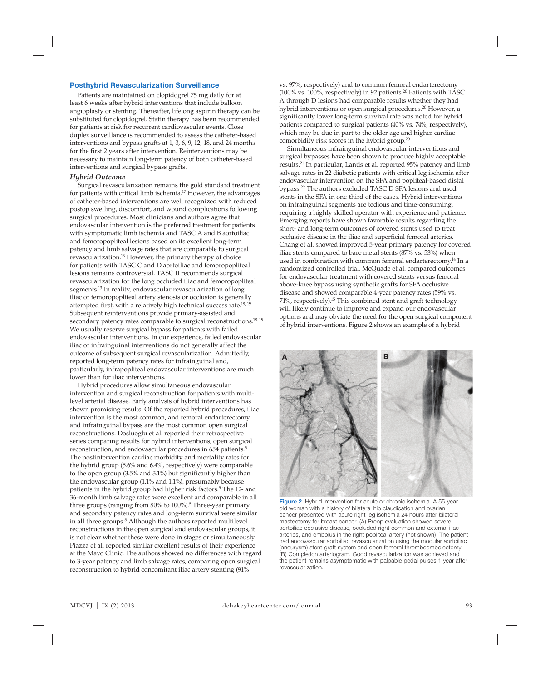## **Posthybrid Revascularization Surveillance**

Patients are maintained on clopidogrel 75 mg daily for at least 6 weeks after hybrid interventions that include balloon angioplasty or stenting. Thereafter, lifelong aspirin therapy can be substituted for clopidogrel. Statin therapy has been recommended for patients at risk for recurrent cardiovascular events. Close duplex surveillance is recommended to assess the catheter-based interventions and bypass grafts at 1, 3, 6, 9, 12, 18, and 24 months for the first 2 years after intervention. Reinterventions may be necessary to maintain long-term patency of both catheter-based interventions and surgical bypass grafts.

### *Hybrid Outcome*

Surgical revascularization remains the gold standard treatment for patients with critical limb ischemia.17 However, the advantages of catheter-based interventions are well recognized with reduced postop swelling, discomfort, and wound complications following surgical procedures. Most clinicians and authors agree that endovascular intervention is the preferred treatment for patients with symptomatic limb ischemia and TASC A and B aortoiliac and femoropopliteal lesions based on its excellent long-term patency and limb salvage rates that are comparable to surgical revascularization.13 However, the primary therapy of choice for patients with TASC C and D aortoiliac and femoropopliteal lesions remains controversial. TASC II recommends surgical revascularization for the long occluded iliac and femoropopliteal segments.13 In reality, endovascular revascularization of long iliac or femoropopliteal artery stenosis or occlusion is generally attempted first, with a relatively high technical success rate.<sup>18, 19</sup> Subsequent reinterventions provide primary-assisted and secondary patency rates comparable to surgical reconstructions.<sup>18, 19</sup> We usually reserve surgical bypass for patients with failed endovascular interventions. In our experience, failed endovascular iliac or infrainguinal interventions do not generally affect the outcome of subsequent surgical revascularization. Admittedly, reported long-term patency rates for infrainguinal and, particularly, infrapopliteal endovascular interventions are much lower than for iliac interventions.

Hybrid procedures allow simultaneous endovascular intervention and surgical reconstruction for patients with multilevel arterial disease. Early analysis of hybrid interventions has shown promising results. Of the reported hybrid procedures, iliac intervention is the most common, and femoral endarterectomy and infrainguinal bypass are the most common open surgical reconstructions. Dosluoglu et al. reported their retrospective series comparing results for hybrid interventions, open surgical reconstruction, and endovascular procedures in 654 patients.<sup>5</sup> The postintervention cardiac morbidity and mortality rates for the hybrid group (5.6% and 6.4%, respectively) were comparable to the open group (3.5% and 3.1%) but significantly higher than the endovascular group (1.1% and 1.1%), presumably because patients in the hybrid group had higher risk factors.<sup>5</sup> The 12- and 36-month limb salvage rates were excellent and comparable in all three groups (ranging from 80% to 100%).<sup>5</sup> Three-year primary and secondary patency rates and long-term survival were similar in all three groups.<sup>5</sup> Although the authors reported multilevel reconstructions in the open surgical and endovascular groups, it is not clear whether these were done in stages or simultaneously. Piazza et al. reported similar excellent results of their experience at the Mayo Clinic. The authors showed no differences with regard to 3-year patency and limb salvage rates, comparing open surgical reconstruction to hybrid concomitant iliac artery stenting (91%

vs. 97%, respectively) and to common femoral endarterectomy (100% vs. 100%, respectively) in 92 patients.20 Patients with TASC A through D lesions had comparable results whether they had hybrid interventions or open surgical procedures.<sup>20</sup> However, a significantly lower long-term survival rate was noted for hybrid patients compared to surgical patients (40% vs. 74%, respectively), which may be due in part to the older age and higher cardiac comorbidity risk scores in the hybrid group.20

Simultaneous infrainguinal endovascular interventions and surgical bypasses have been shown to produce highly acceptable results.21 In particular, Lantis et al. reported 95% patency and limb salvage rates in 22 diabetic patients with critical leg ischemia after endovascular intervention on the SFA and popliteal-based distal bypass.22 The authors excluded TASC D SFA lesions and used stents in the SFA in one-third of the cases. Hybrid interventions on infrainguinal segments are tedious and time-consuming, requiring a highly skilled operator with experience and patience. Emerging reports have shown favorable results regarding the short- and long-term outcomes of covered stents used to treat occlusive disease in the iliac and superficial femoral arteries. Chang et al. showed improved 5-year primary patency for covered iliac stents compared to bare metal stents (87% vs. 53%) when used in combination with common femoral endarterectomy.<sup>14</sup> In a randomized controlled trial, McQuade et al. compared outcomes for endovascular treatment with covered stents versus femoral above-knee bypass using synthetic grafts for SFA occlusive disease and showed comparable 4-year patency rates (59% vs. 71%, respectively).15 This combined stent and graft technology will likely continue to improve and expand our endovascular options and may obviate the need for the open surgical component of hybrid interventions. Figure 2 shows an example of a hybrid



Figure 2. Hybrid intervention for acute or chronic ischemia. A 55-yearold woman with a history of bilateral hip claudication and ovarian cancer presented with acute right-leg ischemia 24 hours after bilateral mastectomy for breast cancer. (A) Preop evaluation showed severe aortoiliac occlusive disease, occluded right common and external iliac arteries, and embolus in the right popliteal artery (not shown). The patient had endovascular aortoiliac revascularization using the modular aortoiliac (aneurysm) stent-graft system and open femoral thromboembolectomy. (B) Completion arteriogram. Good revascularization was achieved and the patient remains asymptomatic with palpable pedal pulses 1 year after revascularization.